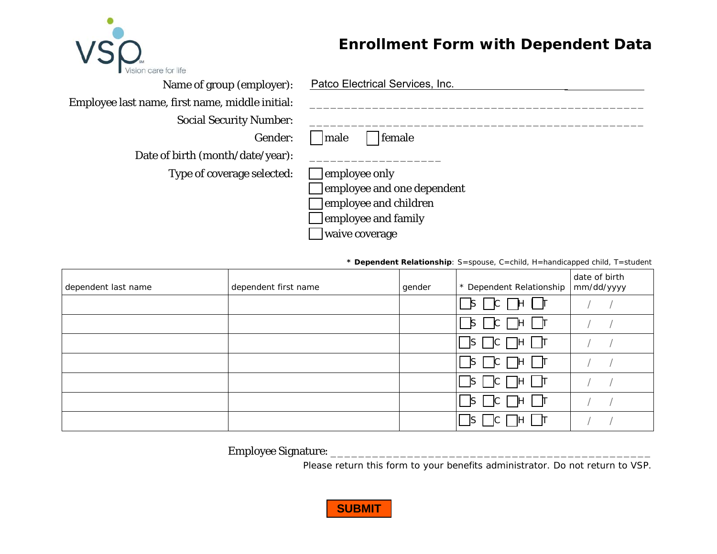

## **Enrollment Form with Dependent Data**

| Name of group (employer):                       | Patco Electrical Services, Inc. |
|-------------------------------------------------|---------------------------------|
| Employee last name, first name, middle initial: |                                 |
| <b>Social Security Number:</b>                  |                                 |
| Gender:                                         | female<br>  male                |
| Date of birth (month/date/year):                |                                 |
| Type of coverage selected:                      | employee only                   |
|                                                 | employee and one dependent      |
|                                                 | employee and children           |
|                                                 | employee and family             |
|                                                 | waive coverage                  |

**\* Dependent Relationship**: S=spouse, C=child, H=handicapped child, T=student

| dependent last name | dependent first name | gender | * Dependent Relationship            | date of birth<br>mm/dd/yyyy |
|---------------------|----------------------|--------|-------------------------------------|-----------------------------|
|                     |                      |        | $\Box$ s $\Box$ c $\Box$ + $\Box$ r |                             |
|                     |                      |        | $\Box$ s $\Box$ c $\Box$ H $\Box$ T |                             |
|                     |                      |        | OS OC OH OT                         |                             |
|                     |                      |        | $\Box$ s $\Box$ c $\Box$ h $\Box$ t |                             |
|                     |                      |        |                                     |                             |
|                     |                      |        | S      C      H      T              |                             |
|                     |                      |        | $\mathsf{S}$                        |                             |

Employee Signature: \_\_\_\_\_\_\_\_\_\_\_\_\_\_\_\_\_\_\_\_\_\_\_\_\_\_\_\_\_\_\_\_\_\_\_\_\_\_\_\_\_\_\_\_\_\_

Please return this form to your benefits administrator. Do not return to VSP.